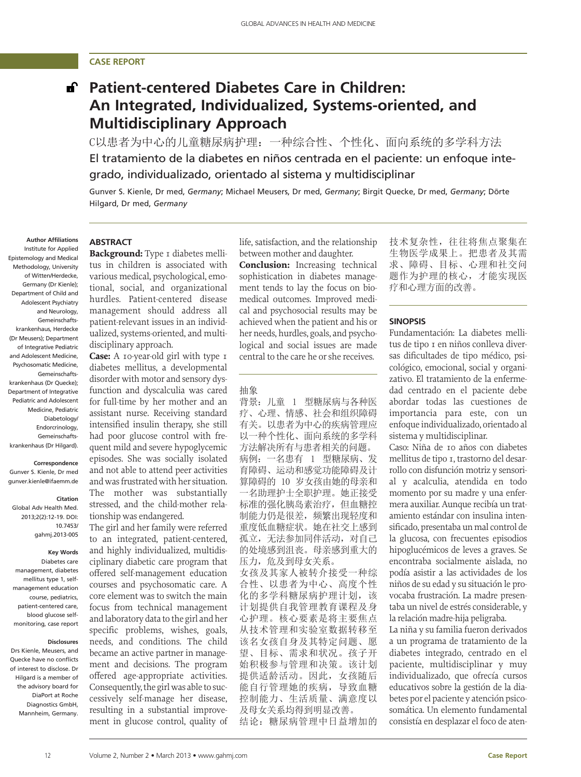## **case report**

# **Patient-centered Diabetes Care in Children:**  ெ **An Integrated, Individualized, Systems-oriented, and Multidisciplinary Approach**

C以患者为中心的儿童糖尿病护理:一种综合性、个性化、面向系统的多学科方法 El tratamiento de la diabetes en niños centrada en el paciente: un enfoque integrado, individualizado, orientado al sistema y multidisciplinar

Gunver S. Kienle, Dr med, *Germany*; Michael Meusers, Dr med, *Germany*; Birgit Quecke, Dr med, *Germany*; Dörte Hilgard, Dr med, *Germany*

### **Abstract**

**Background:** Type 1 diabetes mellitus in children is associated with various medical, psychological, emotional, social, and organizational hurdles. Patient-centered disease management should address all patient-relevant issues in an individualized, systems-oriented, and multi-

**Case:** A 10-year-old girl with type 1 diabetes mellitus, a developmental disorder with motor and sensory dysfunction and dyscalculia was cared for full-time by her mother and an assistant nurse. Receiving standard intensified insulin therapy, she still had poor glucose control with frequent mild and severe hypoglycemic episodes. She was socially isolated and not able to attend peer activities and was frustrated with her situation. The mother was substantially stressed, and the child-mother rela-

disciplinary approach.

tionship was endangered.

The girl and her family were referred to an integrated, patient-centered, and highly individualized, multidisciplinary diabetic care program that offered self-management education courses and psychosomatic care. A core element was to switch the main focus from technical management and laboratory data to the girl and her specific problems, wishes, goals, needs, and conditions. The child became an active partner in management and decisions. The program offered age-appropriate activities. Consequently, the girl was able to successively self-manage her disease, resulting in a substantial improvement in glucose control, quality of

**Author Affiliations** Institute for Applied Epistemology and Medical Methodology, University of Witten/Herdecke, Germany (Dr Kienle); Department of Child and Adolescent Psychiatry and Neurology, Gemeinschaftskrankenhaus, Herdecke (Dr Meusers); Department of Integrative Pediatric and Adolescent Medicine, Psychosomatic Medicine, Gemeinschaftskrankenhaus (Dr Quecke); Department of Integrative Pediatric and Adolescent Medicine, Pediatric Diabetology/ Endorcrinology, Gemeinschaftskrankenhaus (Dr Hilgard).

**Correspondence**

Gunver S. Kienle, Dr med gunver.kienle@ifaemm.de

#### **Citation**

Global Adv Health Med. 2013;2(2):12-19. DOI: 10.7453/ gahmj.2013-005

#### **Key Words**

Diabetes care management, diabetes mellitus type 1, selfmanagement education course, pediatrics patient-centered care, blood glucose selfmonitoring, case report

#### **Disclosures**

Drs Kienle, Meusers, and Quecke have no conflicts of interest to disclose. Dr Hilgard is a member of the advisory board for DiaPort at Roche Diagnostics GmbH, Mannheim, Germany. life, satisfaction, and the relationship between mother and daughter.

**Conclusion:** Increasing technical sophistication in diabetes management tends to lay the focus on biomedical outcomes. Improved medical and psychosocial results may be achieved when the patient and his or her needs, hurdles, goals, and psychological and social issues are made central to the care he or she receives.

### 抽象

背景:儿童 1 型糖尿病与各种医 疗、心理、情感、社会和组织障碍 有关。以患者为中心的疾病管理应 以一种个性化、面向系统的多学科 方法解决所有与患者相关的问题。 病例:一名患有 1 型糖尿病、发 育障碍、运动和感觉功能障碍及计 算障碍的 10 岁女孩由她的母亲和 一名助理护士全职护理。她正接受 标准的强化胰岛素治疗,但血糖控 制能力仍是很差,频繁出现轻度和 重度低血糖症状。她在社交上感到 孤立,无法参加同伴活动,对自己 的处境感到沮丧。母亲感到重大的 压力,危及到母女关系。 女孩及其家人被转介接受一种综 合性、以患者为中心、高度个性 化的多学科糖尿病护理计划,该 计划提供自我管理教育课程及身 心护理。核心要素是将主要焦点 从技术管理和实验室数据转移至 该名女孩自身及其特定问题、愿 望、目标、需求和状况。孩子开 始积极参与管理和决策。该计划 提供适龄活动。因此,女孩随后 能自行管理她的疾病,导致血糖 控制能力、生活质量、满意度以 及母女关系均得到明显改善。 结论:糖尿病管理中日益增加的 技术复杂性,往往将焦点聚集在 生物医学成果上。把患者及其需 求、障碍、目标、心理和社交问 题作为护理的核心,才能实现医 疗和心理方面的改善。

#### **Sinopsis**

Fundamentación: La diabetes mellitus de tipo 1 en niños conlleva diversas dificultades de tipo médico, psicológico, emocional, social y organizativo. El tratamiento de la enfermedad centrado en el paciente debe abordar todas las cuestiones de importancia para este, con un enfoque individualizado, orientado al sistema y multidisciplinar.

Caso: Niña de 10 años con diabetes mellitus de tipo 1, trastorno del desarrollo con disfunción motriz y sensorial y acalculia, atendida en todo momento por su madre y una enfermera auxiliar. Aunque recibía un tratamiento estándar con insulina intensificado, presentaba un mal control de la glucosa, con frecuentes episodios hipoglucémicos de leves a graves. Se encontraba socialmente aislada, no podía asistir a las actividades de los niños de su edad y su situación le provocaba frustración. La madre presentaba un nivel de estrés considerable, y la relación madre-hija peligraba.

La niña y su familia fueron derivados a un programa de tratamiento de la diabetes integrado, centrado en el paciente, multidisciplinar y muy individualizado, que ofrecía cursos educativos sobre la gestión de la diabetes por el paciente y atención psicosomática. Un elemento fundamental consistía en desplazar el foco de aten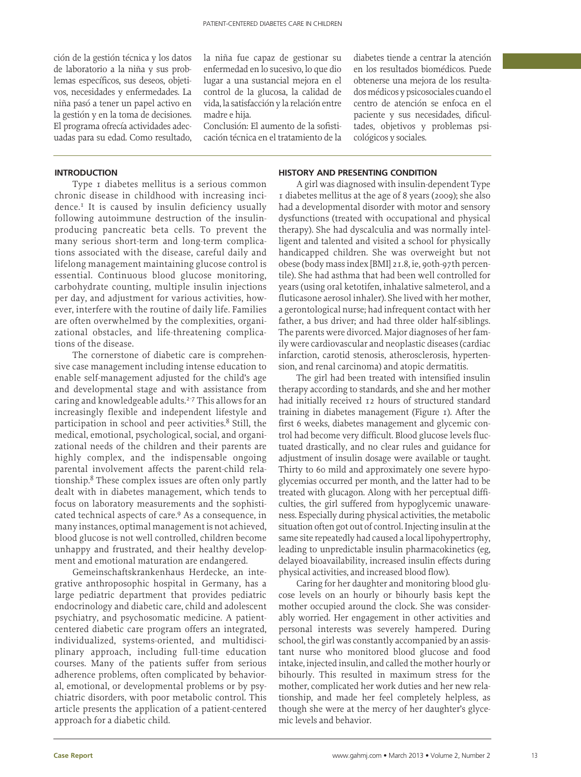ción de la gestión técnica y los datos de laboratorio a la niña y sus problemas específicos, sus deseos, objetivos, necesidades y enfermedades. La niña pasó a tener un papel activo en la gestión y en la toma de decisiones. El programa ofrecía actividades adecuadas para su edad. Como resultado, la niña fue capaz de gestionar su enfermedad en lo sucesivo, lo que dio lugar a una sustancial mejora en el control de la glucosa, la calidad de vida, la satisfacción y la relación entre madre e hija.

Conclusión: El aumento de la sofisticación técnica en el tratamiento de la diabetes tiende a centrar la atención en los resultados biomédicos. Puede obtenerse una mejora de los resultados médicos y psicosociales cuando el centro de atención se enfoca en el paciente y sus necesidades, dificultades, objetivos y problemas psicológicos y sociales.

#### **Introduction**

Type I diabetes mellitus is a serious common chronic disease in childhood with increasing incidence.1 It is caused by insulin deficiency usually following autoimmune destruction of the insulinproducing pancreatic beta cells. To prevent the many serious short-term and long-term complications associated with the disease, careful daily and lifelong management maintaining glucose control is essential. Continuous blood glucose monitoring, carbohydrate counting, multiple insulin injections per day, and adjustment for various activities, however, interfere with the routine of daily life. Families are often overwhelmed by the complexities, organizational obstacles, and life-threatening complications of the disease.

The cornerstone of diabetic care is comprehensive case management including intense education to enable self-management adjusted for the child's age and developmental stage and with assistance from caring and knowledgeable adults.<sup>2-7</sup> This allows for an increasingly flexible and independent lifestyle and participation in school and peer activities.<sup>8</sup> Still, the medical, emotional, psychological, social, and organizational needs of the children and their parents are highly complex, and the indispensable ongoing parental involvement affects the parent-child relationship.8 These complex issues are often only partly dealt with in diabetes management, which tends to focus on laboratory measurements and the sophisticated technical aspects of care.9 As a consequence, in many instances, optimal management is not achieved, blood glucose is not well controlled, children become unhappy and frustrated, and their healthy development and emotional maturation are endangered.

Gemeinschaftskrankenhaus Herdecke, an integrative anthroposophic hospital in Germany, has a large pediatric department that provides pediatric endocrinology and diabetic care, child and adolescent psychiatry, and psychosomatic medicine. A patientcentered diabetic care program offers an integrated, individualized, systems-oriented, and multidisciplinary approach, including full-time education courses. Many of the patients suffer from serious adherence problems, often complicated by behavioral, emotional, or developmental problems or by psychiatric disorders, with poor metabolic control. This article presents the application of a patient-centered approach for a diabetic child.

### **History and Presenting Condition**

A girl was diagnosed with insulin-dependent Type 1 diabetes mellitus at the age of 8 years (2009); she also had a developmental disorder with motor and sensory dysfunctions (treated with occupational and physical therapy). She had dyscalculia and was normally intelligent and talented and visited a school for physically handicapped children. She was overweight but not obese (body mass index [BMI] 21.8, ie, 90th-97th percentile). She had asthma that had been well controlled for years (using oral ketotifen, inhalative salmeterol, and a fluticasone aerosol inhaler). She lived with her mother, a gerontological nurse; had infrequent contact with her father, a bus driver; and had three older half-siblings. The parents were divorced. Major diagnoses of her family were cardiovascular and neoplastic diseases (cardiac infarction, carotid stenosis, atherosclerosis, hypertension, and renal carcinoma) and atopic dermatitis.

The girl had been treated with intensified insulin therapy according to standards, and she and her mother had initially received 12 hours of structured standard training in diabetes management (Figure 1). After the first 6 weeks, diabetes management and glycemic control had become very difficult. Blood glucose levels fluctuated drastically, and no clear rules and guidance for adjustment of insulin dosage were available or taught. Thirty to 60 mild and approximately one severe hypoglycemias occurred per month, and the latter had to be treated with glucagon. Along with her perceptual difficulties, the girl suffered from hypoglycemic unawareness. Especially during physical activities, the metabolic situation often got out of control. Injecting insulin at the same site repeatedly had caused a local lipohypertrophy, leading to unpredictable insulin pharmacokinetics (eg, delayed bioavailability, increased insulin effects during physical activities, and increased blood flow).

Caring for her daughter and monitoring blood glucose levels on an hourly or bihourly basis kept the mother occupied around the clock. She was considerably worried. Her engagement in other activities and personal interests was severely hampered. During school, the girl was constantly accompanied by an assistant nurse who monitored blood glucose and food intake, injected insulin, and called the mother hourly or bihourly. This resulted in maximum stress for the mother, complicated her work duties and her new relationship, and made her feel completely helpless, as though she were at the mercy of her daughter's glycemic levels and behavior.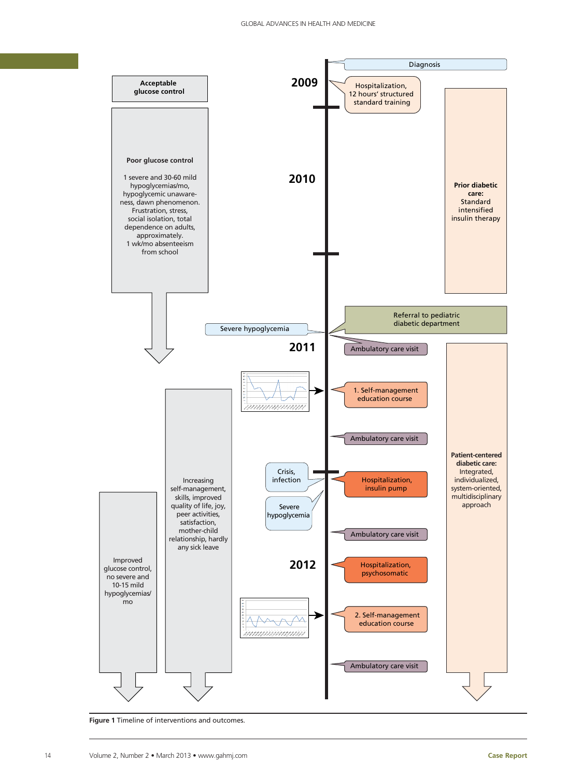

**Figure 1** Timeline of interventions and outcomes.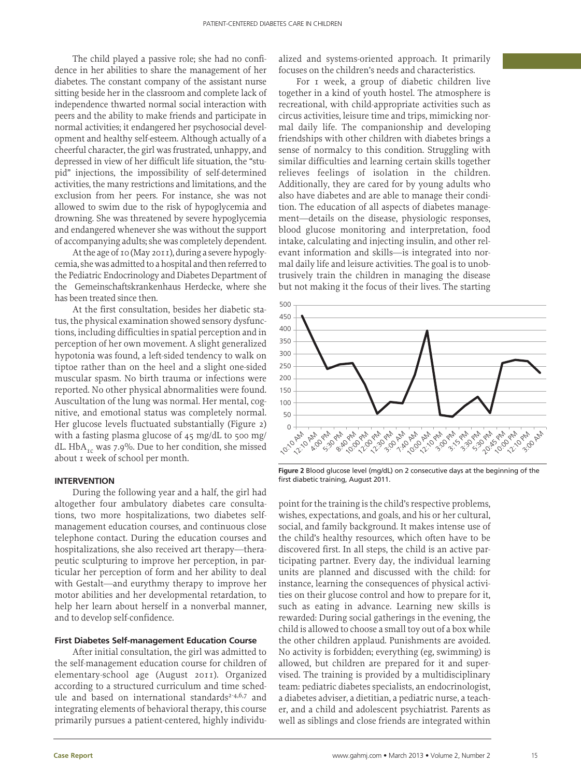The child played a passive role; she had no confidence in her abilities to share the management of her diabetes. The constant company of the assistant nurse sitting beside her in the classroom and complete lack of independence thwarted normal social interaction with peers and the ability to make friends and participate in normal activities; it endangered her psychosocial development and healthy self-esteem. Although actually of a cheerful character, the girl was frustrated, unhappy, and depressed in view of her difficult life situation, the "stupid" injections, the impossibility of self-determined activities, the many restrictions and limitations, and the exclusion from her peers. For instance, she was not allowed to swim due to the risk of hypoglycemia and drowning. She was threatened by severe hypoglycemia and endangered whenever she was without the support of accompanying adults; she was completely dependent.

At the age of 10 (May 2011), during a severe hypoglycemia, she was admitted to a hospital and then referred to the Pediatric Endocrinology and Diabetes Department of the Gemeinschaftskrankenhaus Herdecke, where she has been treated since then.

At the first consultation, besides her diabetic status, the physical examination showed sensory dysfunctions, including difficulties in spatial perception and in perception of her own movement. A slight generalized hypotonia was found, a left-sided tendency to walk on tiptoe rather than on the heel and a slight one-sided muscular spasm. No birth trauma or infections were reported. No other physical abnormalities were found. Auscultation of the lung was normal. Her mental, cognitive, and emotional status was completely normal. Her glucose levels fluctuated substantially (Figure 2) with a fasting plasma glucose of 45 mg/dL to 500 mg/ dL. Hb $A_{rc}$  was 7.9%. Due to her condition, she missed about 1 week of school per month.

#### **Intervention**

During the following year and a half, the girl had altogether four ambulatory diabetes care consultations, two more hospitalizations, two diabetes selfmanagement education courses, and continuous close telephone contact. During the education courses and hospitalizations, she also received art therapy—therapeutic sculpturing to improve her perception, in particular her perception of form and her ability to deal with Gestalt—and eurythmy therapy to improve her motor abilities and her developmental retardation, to help her learn about herself in a nonverbal manner, and to develop self-confidence.

#### **First Diabetes Self-management Education Course**

After initial consultation, the girl was admitted to the self-management education course for children of elementary-school age (August 2011). Organized according to a structured curriculum and time schedule and based on international standards<sup>2-4,6,7</sup> and integrating elements of behavioral therapy, this course primarily pursues a patient-centered, highly individualized and systems-oriented approach. It primarily focuses on the children's needs and characteristics.

For 1 week, a group of diabetic children live together in a kind of youth hostel. The atmosphere is recreational, with child-appropriate activities such as circus activities, leisure time and trips, mimicking normal daily life. The companionship and developing friendships with other children with diabetes brings a sense of normalcy to this condition. Struggling with similar difficulties and learning certain skills together relieves feelings of isolation in the children. Additionally, they are cared for by young adults who also have diabetes and are able to manage their condition. The education of all aspects of diabetes management—details on the disease, physiologic responses, blood glucose monitoring and interpretation, food intake, calculating and injecting insulin, and other relevant information and skills—is integrated into normal daily life and leisure activities. The goal is to unobtrusively train the children in managing the disease but not making it the focus of their lives. The starting



**Figure 2** Blood glucose level (mg/dL) on 2 consecutive days at the beginning of the first diabetic training, August 2011.

point for the training is the child's respective problems, wishes, expectations, and goals, and his or her cultural, social, and family background. It makes intense use of the child's healthy resources, which often have to be discovered first. In all steps, the child is an active participating partner. Every day, the individual learning units are planned and discussed with the child: for instance, learning the consequences of physical activities on their glucose control and how to prepare for it, such as eating in advance. Learning new skills is rewarded: During social gatherings in the evening, the child is allowed to choose a small toy out of a box while the other children applaud. Punishments are avoided. No activity is forbidden; everything (eg, swimming) is allowed, but children are prepared for it and supervised. The training is provided by a multidisciplinary team: pediatric diabetes specialists, an endocrinologist, a diabetes adviser, a dietitian, a pediatric nurse, a teacher, and a child and adolescent psychiatrist. Parents as well as siblings and close friends are integrated within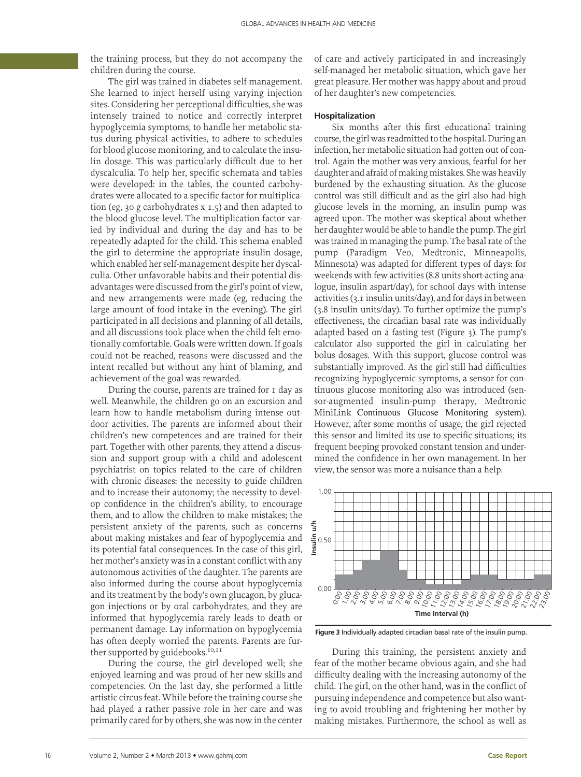the training process, but they do not accompany the children during the course.

The girl was trained in diabetes self-management. She learned to inject herself using varying injection sites. Considering her perceptional difficulties, she was intensely trained to notice and correctly interpret hypoglycemia symptoms, to handle her metabolic status during physical activities, to adhere to schedules for blood glucose monitoring, and to calculate the insulin dosage. This was particularly difficult due to her dyscalculia. To help her, specific schemata and tables were developed: in the tables, the counted carbohydrates were allocated to a specific factor for multiplication (eg, 30 g carbohydrates x 1.5) and then adapted to the blood glucose level. The multiplication factor varied by individual and during the day and has to be repeatedly adapted for the child. This schema enabled the girl to determine the appropriate insulin dosage, which enabled her self-management despite her dyscalculia. Other unfavorable habits and their potential disadvantages were discussed from the girl's point of view, and new arrangements were made (eg, reducing the large amount of food intake in the evening). The girl participated in all decisions and planning of all details, and all discussions took place when the child felt emotionally comfortable. Goals were written down. If goals could not be reached, reasons were discussed and the intent recalled but without any hint of blaming, and achievement of the goal was rewarded.

During the course, parents are trained for 1 day as well. Meanwhile, the children go on an excursion and learn how to handle metabolism during intense outdoor activities. The parents are informed about their children's new competences and are trained for their part. Together with other parents, they attend a discussion and support group with a child and adolescent psychiatrist on topics related to the care of children with chronic diseases: the necessity to guide children and to increase their autonomy; the necessity to develop confidence in the children's ability, to encourage them, and to allow the children to make mistakes; the persistent anxiety of the parents, such as concerns about making mistakes and fear of hypoglycemia and its potential fatal consequences. In the case of this girl, her mother's anxiety was in a constant conflict with any autonomous activities of the daughter. The parents are also informed during the course about hypoglycemia and its treatment by the body's own glucagon, by glucagon injections or by oral carbohydrates, and they are informed that hypoglycemia rarely leads to death or permanent damage. Lay information on hypoglycemia has often deeply worried the parents. Parents are further supported by guidebooks.<sup>10,11</sup>

During the course, the girl developed well; she enjoyed learning and was proud of her new skills and competencies. On the last day, she performed a little artistic circus feat. While before the training course she had played a rather passive role in her care and was primarily cared for by others, she was now in the center

of care and actively participated in and increasingly self-managed her metabolic situation, which gave her great pleasure. Her mother was happy about and proud of her daughter's new competencies.

### **Hospitalization**

Six months after this first educational training course, the girl was readmitted to the hospital. During an infection, her metabolic situation had gotten out of control. Again the mother was very anxious, fearful for her daughter and afraid of making mistakes. She was heavily burdened by the exhausting situation. As the glucose control was still difficult and as the girl also had high glucose levels in the morning, an insulin pump was agreed upon. The mother was skeptical about whether her daughter would be able to handle the pump. The girl was trained in managing the pump. The basal rate of the pump (Paradigm Veo, Medtronic, Minneapolis, Minnesota) was adapted for different types of days: for weekends with few activities (8.8 units short-acting analogue, insulin aspart/day), for school days with intense activities (3.1 insulin units/day), and for days in between (3.8 insulin units/day). To further optimize the pump's effectiveness, the circadian basal rate was individually adapted based on a fasting test (Figure 3). The pump's calculator also supported the girl in calculating her bolus dosages. With this support, glucose control was substantially improved. As the girl still had difficulties recognizing hypoglycemic symptoms, a sensor for continuous glucose monitoring also was introduced (sensor-augmented insulin-pump therapy, Medtronic MiniLink Continuous Glucose Monitoring system). However, after some months of usage, the girl rejected this sensor and limited its use to specific situations; its frequent beeping provoked constant tension and undermined the confidence in her own management. In her view, the sensor was more a nuisance than a help.



**Figure 3** Individually adapted circadian basal rate of the insulin pump.

During this training, the persistent anxiety and fear of the mother became obvious again, and she had difficulty dealing with the increasing autonomy of the child. The girl, on the other hand, was in the conflict of pursuing independence and competence but also wanting to avoid troubling and frightening her mother by making mistakes. Furthermore, the school as well as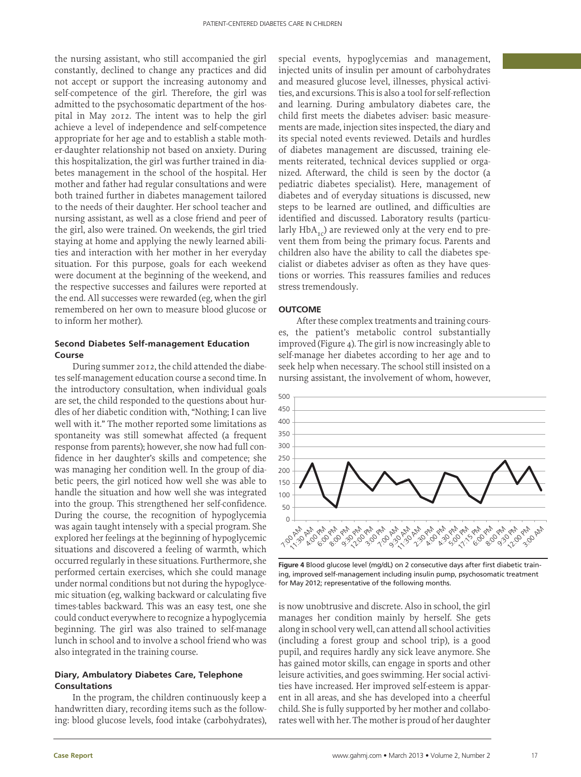the nursing assistant, who still accompanied the girl constantly, declined to change any practices and did not accept or support the increasing autonomy and self-competence of the girl. Therefore, the girl was admitted to the psychosomatic department of the hospital in May 2012. The intent was to help the girl achieve a level of independence and self-competence appropriate for her age and to establish a stable mother-daughter relationship not based on anxiety. During this hospitalization, the girl was further trained in diabetes management in the school of the hospital. Her mother and father had regular consultations and were both trained further in diabetes management tailored to the needs of their daughter. Her school teacher and nursing assistant, as well as a close friend and peer of the girl, also were trained. On weekends, the girl tried staying at home and applying the newly learned abilities and interaction with her mother in her everyday situation. For this purpose, goals for each weekend were document at the beginning of the weekend, and the respective successes and failures were reported at the end. All successes were rewarded (eg, when the girl remembered on her own to measure blood glucose or to inform her mother).

## **Second Diabetes Self-management Education Course**

During summer 2012, the child attended the diabetes self-management education course a second time. In the introductory consultation, when individual goals are set, the child responded to the questions about hurdles of her diabetic condition with, "Nothing; I can live well with it." The mother reported some limitations as spontaneity was still somewhat affected (a frequent response from parents); however, she now had full confidence in her daughter's skills and competence; she was managing her condition well. In the group of diabetic peers, the girl noticed how well she was able to handle the situation and how well she was integrated into the group. This strengthened her self-confidence. During the course, the recognition of hypoglycemia was again taught intensely with a special program. She explored her feelings at the beginning of hypoglycemic situations and discovered a feeling of warmth, which occurred regularly in these situations. Furthermore, she performed certain exercises, which she could manage under normal conditions but not during the hypoglycemic situation (eg, walking backward or calculating five times-tables backward. This was an easy test, one she could conduct everywhere to recognize a hypoglycemia beginning. The girl was also trained to self-manage lunch in school and to involve a school friend who was also integrated in the training course.

### **Diary, Ambulatory Diabetes Care, Telephone Consultations**

In the program, the children continuously keep a handwritten diary, recording items such as the following: blood glucose levels, food intake (carbohydrates), special events, hypoglycemias and management, injected units of insulin per amount of carbohydrates and measured glucose level, illnesses, physical activities, and excursions. This is also a tool for self-reflection and learning. During ambulatory diabetes care, the child first meets the diabetes adviser: basic measurements are made, injection sites inspected, the diary and its special noted events reviewed. Details and hurdles of diabetes management are discussed, training elements reiterated, technical devices supplied or organized. Afterward, the child is seen by the doctor (a pediatric diabetes specialist). Here, management of diabetes and of everyday situations is discussed, new steps to be learned are outlined, and difficulties are identified and discussed. Laboratory results (particularly  $HbA_{1c}$ ) are reviewed only at the very end to prevent them from being the primary focus. Parents and children also have the ability to call the diabetes specialist or diabetes adviser as often as they have questions or worries. This reassures families and reduces stress tremendously.

# **Outcome**

After these complex treatments and training courses, the patient's metabolic control substantially improved (Figure 4). The girl is now increasingly able to self-manage her diabetes according to her age and to seek help when necessary. The school still insisted on a nursing assistant, the involvement of whom, however,



**Figure 4** Blood glucose level (mg/dL) on 2 consecutive days after first diabetic training, improved self-management including insulin pump, psychosomatic treatment for May 2012; representative of the following months.

is now unobtrusive and discrete. Also in school, the girl manages her condition mainly by herself. She gets along in school very well, can attend all school activities (including a forest group and school trip), is a good pupil, and requires hardly any sick leave anymore. She has gained motor skills, can engage in sports and other leisure activities, and goes swimming. Her social activities have increased. Her improved self-esteem is apparent in all areas, and she has developed into a cheerful child. She is fully supported by her mother and collaborates well with her. The mother is proud of her daughter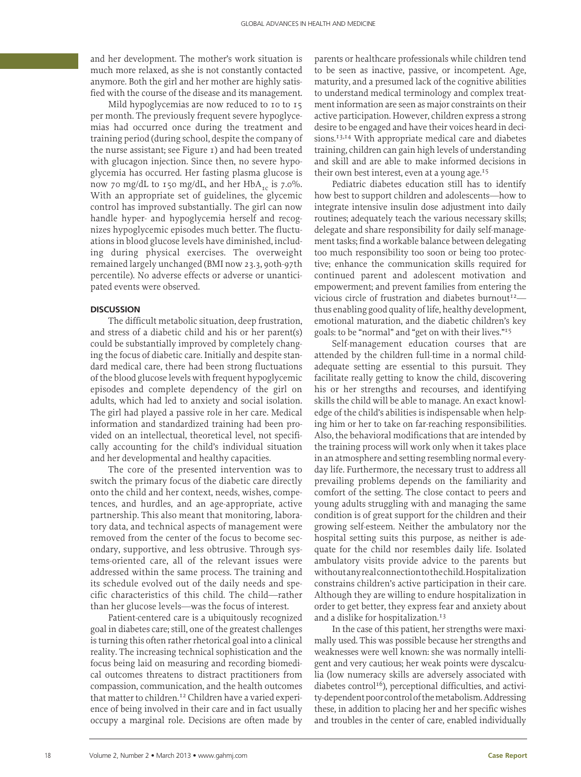and her development. The mother's work situation is much more relaxed, as she is not constantly contacted anymore. Both the girl and her mother are highly satisfied with the course of the disease and its management.

Mild hypoglycemias are now reduced to 10 to 15 per month. The previously frequent severe hypoglycemias had occurred once during the treatment and training period (during school, despite the company of the nurse assistant; see Figure 1) and had been treated with glucagon injection. Since then, no severe hypoglycemia has occurred. Her fasting plasma glucose is now 70 mg/dL to 150 mg/dL, and her  $HbA_{1c}$  is 7.0%. With an appropriate set of guidelines, the glycemic control has improved substantially. The girl can now handle hyper- and hypoglycemia herself and recognizes hypoglycemic episodes much better. The fluctuations in blood glucose levels have diminished, including during physical exercises. The overweight remained largely unchanged (BMI now 23.3, 90th-97th percentile). No adverse effects or adverse or unanticipated events were observed.

### **DISCUSSION**

The difficult metabolic situation, deep frustration, and stress of a diabetic child and his or her parent(s) could be substantially improved by completely changing the focus of diabetic care. Initially and despite standard medical care, there had been strong fluctuations of the blood glucose levels with frequent hypoglycemic episodes and complete dependency of the girl on adults, which had led to anxiety and social isolation. The girl had played a passive role in her care. Medical information and standardized training had been provided on an intellectual, theoretical level, not specifically accounting for the child's individual situation and her developmental and healthy capacities.

The core of the presented intervention was to switch the primary focus of the diabetic care directly onto the child and her context, needs, wishes, competences, and hurdles, and an age-appropriate, active partnership. This also meant that monitoring, laboratory data, and technical aspects of management were removed from the center of the focus to become secondary, supportive, and less obtrusive. Through systems-oriented care, all of the relevant issues were addressed within the same process. The training and its schedule evolved out of the daily needs and specific characteristics of this child. The child—rather than her glucose levels—was the focus of interest.

Patient-centered care is a ubiquitously recognized goal in diabetes care; still, one of the greatest challenges is turning this often rather rhetorical goal into a clinical reality. The increasing technical sophistication and the focus being laid on measuring and recording biomedical outcomes threatens to distract practitioners from compassion, communication, and the health outcomes that matter to children.12 Children have a varied experience of being involved in their care and in fact usually occupy a marginal role. Decisions are often made by

parents or healthcare professionals while children tend to be seen as inactive, passive, or incompetent. Age, maturity, and a presumed lack of the cognitive abilities to understand medical terminology and complex treatment information are seen as major constraints on their active participation. However, children express a strong desire to be engaged and have their voices heard in decisions.<sup>13,14</sup> With appropriate medical care and diabetes training, children can gain high levels of understanding and skill and are able to make informed decisions in their own best interest, even at a young age.15

Pediatric diabetes education still has to identify how best to support children and adolescents—how to integrate intensive insulin dose adjustment into daily routines; adequately teach the various necessary skills; delegate and share responsibility for daily self-management tasks; find a workable balance between delegating too much responsibility too soon or being too protective; enhance the communication skills required for continued parent and adolescent motivation and empowerment; and prevent families from entering the vicious circle of frustration and diabetes burnout<sup>12</sup>thus enabling good quality of life, healthy development, emotional maturation, and the diabetic children's key goals: to be "normal" and "get on with their lives."15

Self-management education courses that are attended by the children full-time in a normal childadequate setting are essential to this pursuit. They facilitate really getting to know the child, discovering his or her strengths and recourses, and identifying skills the child will be able to manage. An exact knowledge of the child's abilities is indispensable when helping him or her to take on far-reaching responsibilities. Also, the behavioral modifications that are intended by the training process will work only when it takes place in an atmosphere and setting resembling normal everyday life. Furthermore, the necessary trust to address all prevailing problems depends on the familiarity and comfort of the setting. The close contact to peers and young adults struggling with and managing the same condition is of great support for the children and their growing self-esteem. Neither the ambulatory nor the hospital setting suits this purpose, as neither is adequate for the child nor resembles daily life. Isolated ambulatory visits provide advice to the parents but without any real connection to the child. Hospitalization constrains children's active participation in their care. Although they are willing to endure hospitalization in order to get better, they express fear and anxiety about and a dislike for hospitalization.<sup>13</sup>

In the case of this patient, her strengths were maximally used. This was possible because her strengths and weaknesses were well known: she was normally intelligent and very cautious; her weak points were dyscalculia (low numeracy skills are adversely associated with diabetes control<sup>16</sup>), perceptional difficulties, and activity-dependent poor control of the metabolism. Addressing these, in addition to placing her and her specific wishes and troubles in the center of care, enabled individually